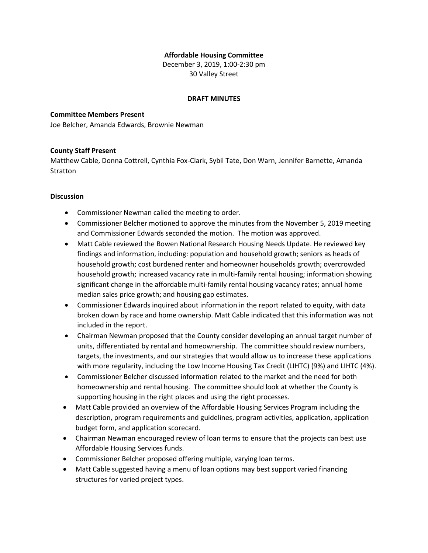# **Affordable Housing Committee**

December 3, 2019, 1:00-2:30 pm 30 Valley Street

#### **DRAFT MINUTES**

# **Committee Members Present**

Joe Belcher, Amanda Edwards, Brownie Newman

# **County Staff Present**

Matthew Cable, Donna Cottrell, Cynthia Fox-Clark, Sybil Tate, Don Warn, Jennifer Barnette, Amanda **Stratton** 

## **Discussion**

- Commissioner Newman called the meeting to order.
- Commissioner Belcher motioned to approve the minutes from the November 5, 2019 meeting and Commissioner Edwards seconded the motion. The motion was approved.
- Matt Cable reviewed the Bowen National Research Housing Needs Update. He reviewed key findings and information, including: population and household growth; seniors as heads of household growth; cost burdened renter and homeowner households growth; overcrowded household growth; increased vacancy rate in multi-family rental housing; information showing significant change in the affordable multi-family rental housing vacancy rates; annual home median sales price growth; and housing gap estimates.
- Commissioner Edwards inquired about information in the report related to equity, with data broken down by race and home ownership. Matt Cable indicated that this information was not included in the report.
- Chairman Newman proposed that the County consider developing an annual target number of units, differentiated by rental and homeownership. The committee should review numbers, targets, the investments, and our strategies that would allow us to increase these applications with more regularity, including the Low Income Housing Tax Credit (LIHTC) (9%) and LIHTC (4%).
- Commissioner Belcher discussed information related to the market and the need for both homeownership and rental housing. The committee should look at whether the County is supporting housing in the right places and using the right processes.
- Matt Cable provided an overview of the Affordable Housing Services Program including the description, program requirements and guidelines, program activities, application, application budget form, and application scorecard.
- Chairman Newman encouraged review of loan terms to ensure that the projects can best use Affordable Housing Services funds.
- Commissioner Belcher proposed offering multiple, varying loan terms.
- Matt Cable suggested having a menu of loan options may best support varied financing structures for varied project types.